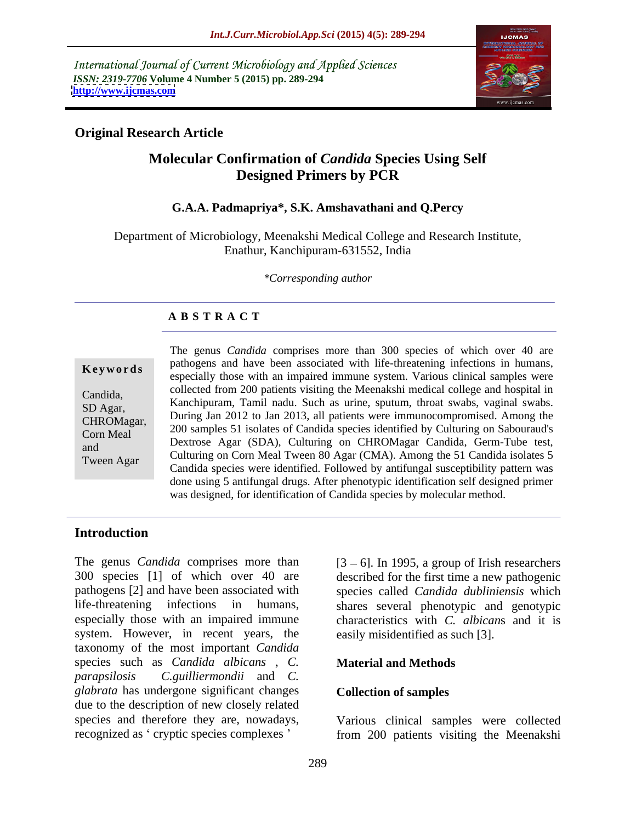International Journal of Current Microbiology and Applied Sciences *ISSN: 2319-7706* **Volume 4 Number 5 (2015) pp. 289-294 <http://www.ijcmas.com>**



### **Original Research Article**

### **Molecular Confirmation of** *Candida* **Species Using Self Designed Primers by PCR**

#### **G.A.A. Padmapriya\*, S.K. Amshavathani and Q.Percy**

Department of Microbiology, Meenakshi Medical College and Research Institute, Enathur, Kanchipuram-631552, India

*\*Corresponding author*

### **A B S T R A C T**

Tween Agar

The genus *Candida* comprises more than 300 species of which over 40 are pathogens and have been associated with life-threatening infections in humans, **Keywords** pathogens and have been associated with the-uneatening infections in humans, especially those with an impaired immune system. Various clinical samples were collected from 200 patients visiting the Meenakshi medical college and hospital in Candida, Conected Hom 200 patients visiting the Meenaksin included conege and hospital in<br>SD Ager Kanchipuram, Tamil nadu. Such as urine, sputum, throat swabs, vaginal swabs. SD Agar,<br>CHROMagar, During Jan 2012 to Jan 2013, all patients were immunocompromised. Among the CHROMagar, During Jan 2012 to Jan 2013, an patients were infinitiocompromised. Alliong the<br>Corp Meal 200 samples 51 isolates of Candida species identified by Culturing on Sabouraud's Corn Meal 200 samples 31 isolates of Candida species identified by Culturing on Sabouradus<br>200 Sextrose Agar (SDA), Culturing on CHROMagar Candida, Germ-Tube test, nd<br>Tween Agar (CMA). Among the 51 Candida isolates 5<br>Tween Agar (CMA). Among the 51 Candida isolates 5 Candida species were identified. Followed by antifungal susceptibility pattern was done using 5 antifungal drugs. After phenotypic identification self designed primer was designed, for identification of Candida species by molecular method.

### **Introduction**

The genus *Candida* comprises more than  $[3 - 6]$ . In 1995, a group of Irish researchers 300 species [1] of which over 40 are described for the first time a new pathogenic pathogens [2] and have been associated with species called *Candida dubliniensis* which life-threatening infections in humans, shares several phenotypic and genotypic especially those with an impaired immune characteristics with *C. albican*s and it is system. However, in recent years, the taxonomy of the most important *Candida*  species such as *Candida albicans* , *C. parapsilosis C.guilliermondii* and *C. glabrata* has undergone significant changes due to the description of new closely related species and therefore they are, nowadays,

easily misidentified as such [3].

### **Material and Methods**

#### **Collection of samples**

recognized as 'cryptic species complexes ' from 200 patients visiting the Meenakshi Various clinical samples were collected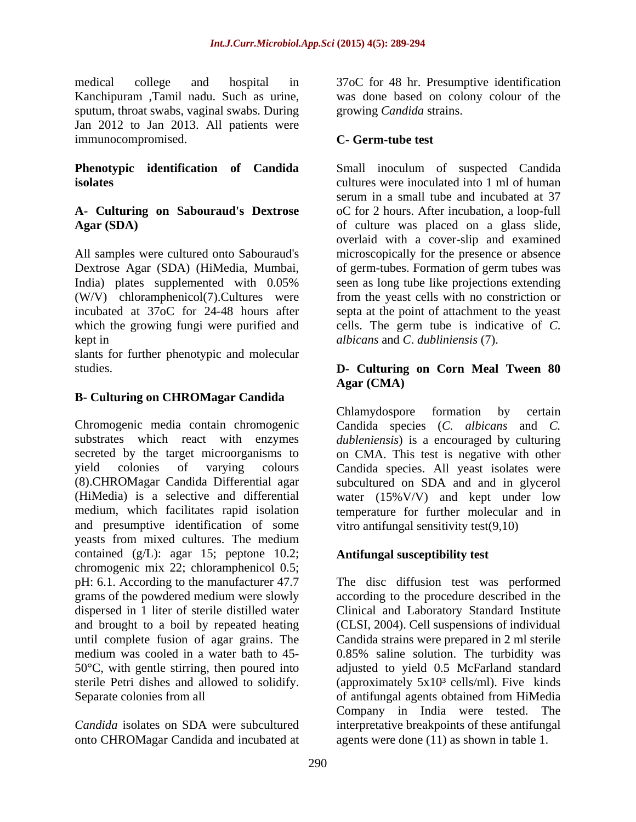medical college and hospital in 37oC for 48 hr. Presumptive identification Kanchipuram ,Tamil nadu. Such as urine, sputum, throat swabs, vaginal swabs. During Jan 2012 to Jan 2013. All patients were immunocompromised. C- Germ-tube test

# **A- Culturing on Sabouraud's Dextrose**

All samples were cultured onto Sabouraud's Dextrose Agar (SDA) (HiMedia, Mumbai, of germ-tubes. Formation of germ tubes was India) plates supplemented with 0.05% seen as long tube like projections extending (W/V) chloramphenicol(7).Cultures were from the yeast cells with no constriction or incubated at 37oC for 24-48 hours after septa at the point of attachment to the yeast which the growing fungi were purified and cells. The germ tube is indicative of *C*. kept in *albicans* and *C*. *dubliniensis* (7).

slants for further phenotypic and molecular

### **B- Culturing on CHROMagar Candida**

Chromogenic media contain chromogenic Candida species (C. albicans and C. substrates which react with enzymes *dubleniensis*) is a encouraged by culturing secreted by the target microorganisms to on CMA. This test is negative with other yield colonies of varying colours Candida species. All yeast isolates were (8).CHROMagar Candida Differential agar subcultured on SDA and and in glycerol (HiMedia) is a selective and differential water (15%V/V) and kept under low medium, which facilitates rapid isolation temperature for further molecular and in and presumptive identification of some yeasts from mixed cultures. The medium contained (g/L): agar 15; peptone 10.2; chromogenic mix 22; chloramphenicol 0.5; pH: 6.1. According to the manufacturer 47.7 The disc diffusion test was performed grams of the powdered medium were slowly according to the procedure described in the dispersed in 1 liter of sterile distilled water Clinical and Laboratory Standard Institute and brought to a boil by repeated heating (CLSI, 2004). Cell suspensions of individual until complete fusion of agar grains. The Candida strains were prepared in 2 ml sterile medium was cooled in a water bath to 45- 0.85% saline solution. The turbidity was 50°C, with gentle stirring, then poured into adjusted to yield 0.5 McFarland standard sterile Petri dishes and allowed to solidify. (approximately 5x10<sup>3</sup> cells/ml). Five kinds Separate colonies from all of antifungal agents obtained from HiMedia

onto CHROMagar Candida and incubated at

was done based on colony colour of the growing *Candida* strains.

### **C- Germ-tube test**

**Phenotypic identification of Candida** Small inoculum of suspected Candida **isolates** cultures were inoculated into 1 ml of human Agar (SDA) **of culture was placed on a glass slide**, serum in a small tube and incubated at 37 oC for 2 hours. After incubation, a loop-full overlaid with a cover-slip and examined microscopically for the presence or absence

### studies. **D- Culturing on Corn Meal Tween 80 Agar (CMA)**

Chlamydospore formation by certain vitro antifungal sensitivity test(9,10)

### **Antifungal susceptibility test**

*Candida* isolates on SDA were subcultured interpretative breakpoints of these antifungal Company in India were tested. The agents were done (11) as shown in table 1.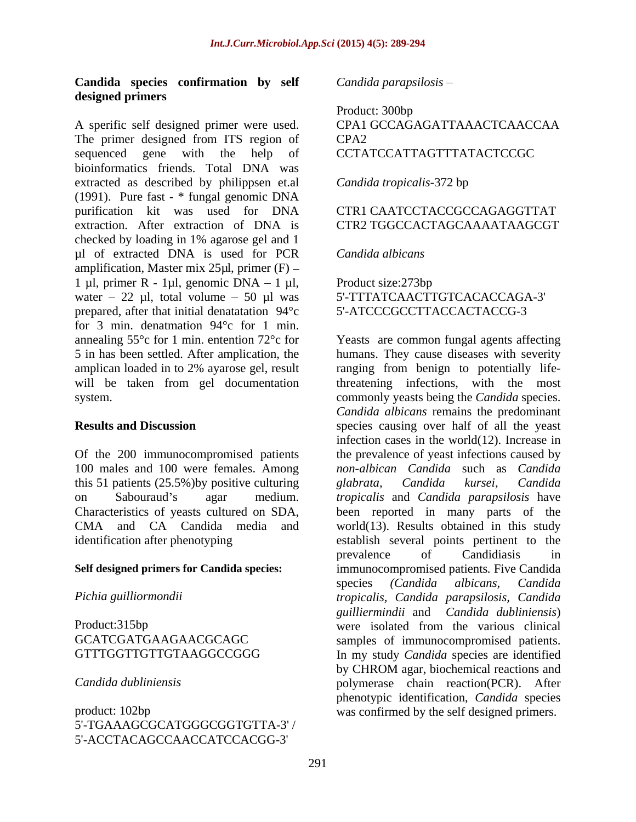#### **Candida species confirmation by self designed primers**

A sperific self designed primer were used. CPA1 GCCAGAGATTAAACTCAACCAA The primer designed from ITS region of CPA2 sequenced gene with the help of CCTATCCATTAGTTTATACTCCGC bioinformatics friends. Total DNA was extracted as described by philippsen et.al Candida tropicalis-372 bp (1991). Pure fast - \* fungal genomic DNA purification kit was used for DNA extraction. After extraction of DNA is CTR2 TGGCCACTAGCAAAATAAGCGT checked by loading in 1% agarose gel and 1 ul of extracted DNA is used for PCR Candida albicans amplification, Master mix  $25\mu l$ , primer (F) – 1 µl, primer R - 1µl, genomic DNA  $-$  1 µl, Product size:273bp water – 22 µl, total volume – 50 µl was 5'-TTTATCAACTTGTCACACCAGA-3' prepared, after that initial denatatation 94°c for 3 min. denatmation 94°c for 1 min. annealing 55°c for 1 min. entention 72°c for Yeasts are common fungal agents affecting

this 51 patients (25.5%) by positive culturing glabrata, Candida kursei, Candida

5'-TGAAAGCGCATGGGCGGTGTTA-3' / 5'-ACCTACAGCCAACCATCCACGG-3'

*Candida parapsilosis*

## Product: 300bp CPA2 CCTATCCATTAGTTTATACTCCGC

*Candida tropicalis*-372 bp

#### CTR1 CAATCCTACCGCCAGAGGTTAT CTR2 TGGCCACTAGCAAAATAAGCGT

#### *Candida albicans*

Product size:273bp 5'-ATCCCGCCTTACCACTACCG-3

5 in has been settled. After amplication, the humans. They cause diseases with severity amplican loaded in to 2% ayarose gel, result ranging from benign to potentially lifewill be taken from gel documentation threatening infections, with the most system. **Example 3** commonly yeasts being the *Candida* species. **Results and Discussion species** causing over half of all the yeast Of the 200 immunocompromised patients the prevalence of yeast infections caused by 100 males and 100 were females. Among *non-albican Candida* such as *Candida* on Sabouraud's agar medium. *tropicalis* and *Candida parapsilosis* have Characteristics of yeasts cultured on SDA, been reported in many parts of the CMA and CA Candida media and world(13). Results obtained in this study identification after phenotyping establish several points pertinent to the **Self designed primers for Candida species:** immunocompromised patients*.* Five Candida *Pichia guilliormondii tropicalis, Candida parapsilosis, Candida* Product:315bp were isolated from the various clinical GCATCGATGAAGAACGCAGC samples of immunocompromised patients. GTTTGGTTGTTGTAAGGCCGGG In my study *Candida* species are identified *Candida dubliniensis* polymerase chain reaction(PCR). After product: 102bp was confirmed by the self designed primers. *Candida albicans* remains the predominant infection cases in the world(12). Increase in *glabrata, Candida kursei, Candida* prevalence of Candidiasis in species *(Candida albicans, Candida guilliermindii* and *Candida dubliniensis*) by CHROM agar, biochemical reactions and phenotypic identification, *Candida* species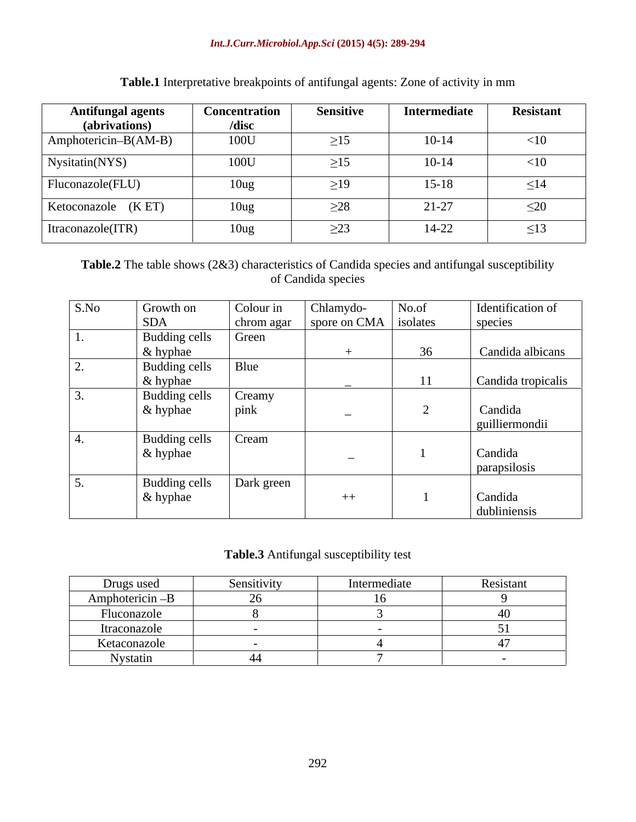#### *Int.J.Curr.Microbiol.App.Sci* **(2015) 4(5): 289-294**

| <b>Antifungal agents</b><br>(abrivations) | <b>Concentration</b><br>/disc | <b>Sensitive</b> | Intermediate | Resistant |
|-------------------------------------------|-------------------------------|------------------|--------------|-----------|
| $\Delta$ mphotericin–B(AM-B)              | 100U                          | $\geq$ 15        | $10 - 14$    | $<$ 10    |
| Nysitatin(NYS)                            | 100U                          | $\geq$ 15        | $10 - 14$    | $<$ 10    |
| Fluconazole(FLU)                          | 10 <sub>ug</sub>              | $\geq$ 19        | $15 - 18$    | $\leq$ 14 |
| Ketoconazole (KET)                        | 10 <sub>ug</sub>              | $\geq$ 28        | $21 - 27$    | $\leq$ 20 |
| Itraconazole(ITR)                         | 10 <sub>ug</sub>              | $\leq$ $\leq$    | $14 - 22$    | $\leq$ 13 |

**Table.1** Interpretative breakpoints of antifungal agents: Zone of activity in mm

**Table.2** The table shows (2&3) characteristics of Candida species and antifungal susceptibility of Candida species

| S.No | Growth on     | Colour in  | Chlamydo-                | No.of | Identification of  |
|------|---------------|------------|--------------------------|-------|--------------------|
|      | <b>SDA</b>    | chrom agar | spore on CMA isolates    |       | species            |
|      | Budding cells | Green      |                          |       |                    |
|      | & hyphae      |            |                          | 36    | Candida albicans   |
|      | Budding cells | Blue       |                          |       |                    |
|      | & hyphae      |            |                          |       | Candida tropicalis |
|      | Budding cells | Creamy     |                          |       |                    |
|      | & hyphae      | pink       | $\overline{\phantom{0}}$ |       | Candida            |
|      |               |            |                          |       | guilliermondii     |
|      | Budding cells | Cream      |                          |       |                    |
|      | & hyphae      |            | $\overline{\phantom{a}}$ |       | Candida            |
|      |               |            |                          |       | parapsilosis       |
|      | Budding cells | Dark green |                          |       |                    |
|      | & hyphae      |            | $++$                     |       | Candida            |
|      |               |            |                          |       | dubliniensis       |

#### **Table.3** Antifungal susceptibility test

| Drugs used      | Sensitivity | Intermediate | Resistant |
|-----------------|-------------|--------------|-----------|
| Amphotericin -B |             |              |           |
| Fluconazole     |             |              |           |
| Itraconazole    |             |              |           |
| Ketaconazole    |             |              |           |
| Nystatin        |             |              |           |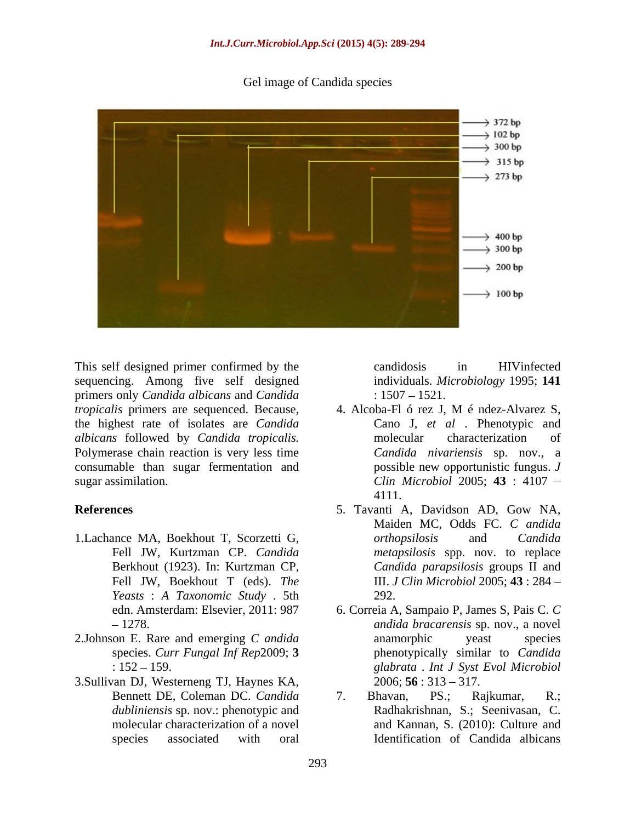Gel image of Candida species



This self designed primer confirmed by the candidosis in HIV infected sequencing. Among five self designed primers only *Candida albicans* and *Candida*  the highest rate of isolates are *Candida albicans* followed by *Candida tropicalis.* Polymerase chain reaction is very less time consumable than sugar fermentation and

- 1.Lachance MA, Boekhout T, Scorzetti G, Fell JW, Boekhout T (eds). *The Yeasts* : *A Taxonomic Study* . 5th
- 2.Johnson E. Rare and emerging *C andida*
- 3.Sullivan DJ, Westerneng TJ, Haynes KA, *dubliniensis* sp. nov.: phenotypic and

candidosis in HIVinfected individuals. *Microbiology* 1995; **141**   $: 1507 - 1521.$ 

- *tropicalis* primers are sequenced. Because, 4. Alcoba-Fl ó rez J, M é ndez-Alvarez S, sugar assimilation. *Clin Microbiol* 2005; **43** : 4107 Cano J, *et al* . Phenotypic and molecular characterization of *Candida nivariensis* sp. nov., a possible new opportunistic fungus. *J*  4111.
- **References** 5. Tavanti A, Davidson AD, Gow NA, Fell JW, Kurtzman CP. *Candida metapsilosis* spp. nov. to replace Berkhout (1923). In: Kurtzman CP, *Candida parapsilosis* groups II and Maiden MC, Odds FC. *C andida orthopsilosis* and *Candida*  III. *J Clin Microbiol* 2005; **43** : 284 292.
	- edn. Amsterdam: Elsevier, 2011: 987 6. Correia A, Sampaio P, James S, Pais C. *C*  1278. *andida bracarensis* sp. nov., a novel species. *Curr Fungal Inf Rep*2009; **3**  phenotypically similar to *Candida* : 152 159. *glabrata* . *Int J Syst Evol Microbiol* anamorphic yeast species  $2006$ ; **56** :  $313 - 317$ .
	- Bennett DE, Coleman DC. *Candida*  molecular characterization of a novel and Kannan, S. (2010): Culture and species associated with oral Identification of Candida albicans7. Bhavan, PS.; Rajkumar, R.; Radhakrishnan, S.; Seenivasan, C.